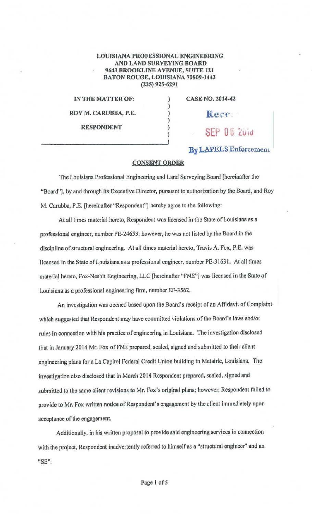## LOUISIANA PROFESSIONAL ENGINEERING AND LAND SURVEYING BOARD 9643 BROOKLINE AVENUE, SUITE 121 BATON ROUGE, LOUISIANA 70809-1443 (225) 925-629 l

) ) ) ) ) )

IN THE MATTER OF: ROY M. CARUBBA, P.E. RESPONDENT

CASE NO. 2014-42

Rece

SFP 08 2010

By LAPELS Enforcement

## **CONSENT ORDER**

The Louisiana Professional Engineering and Land Surveying Board [hereinafter the "Board''], by and through its Executive Director, pursuant to authorization by the Board, and Roy M. Carubba, P.E. [hereinafter "Respondent''] hereby agree to the following:

At all times material hereto, Respondent was licensed in the State of Louisiana as a professional engineer, number PE-24653; however, he was not listed by the Board in the discipline of structural engineering. At all times material hereto, Travis A. Fox, P.E. was licensed in the State of Louisiana as a professional engineer, number PE-31631. At all times material hereto, Fox-Nesbit Engineering, LLC [hereinafter "FNE"] was licensed in the State of Louisiana as a professional engineering firm, number EF-3562.

An investigation was opened based upon the Board's receipt of an Affidavit of Complaint which suggested that Respondent may have committed violations of the Board's laws and/or rules in connection with his practice of engineering in Louisiana. The investigation disclosed that in January 2014 Mr. Fox of FNE prepared, sealed, signed and submitted to their client engineering plans for a La Capitol Federal Credit Union building in Metairle, Louisiana. The Investigation also disclosed that in March 2014 Respondent prepared, scaled, signed and submitted to the same client revisions to Mr. Fox's original plans; however, Respondent failed to provide to Mr. Fox written notice of Respondent's engagement by the client Immediately upon acceptance of the engagement.

Additionally, in his written proposal to provide said engineering services in connection with the project, Respondent inadvertently referred to himself as a "structural engineer" and an "SE".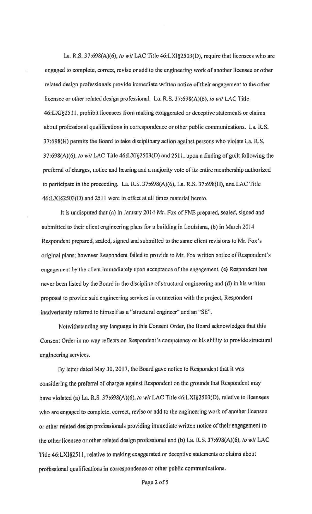La. R.S. 37:698(A)(6), to wit LAC Title 46:LXI§2503(D), require that licensees who are engaged to complete, correct, revise or add to the engineering work of another licensee or other related design professionals provide immediate written notice of their engagement to the other licensee or other related design professional. La. R.S. 37:698(A)(6}, lo *wit* LAC Title 46:LXJ§25 I I, prohibit licensees from making exaggerated or deceptive statements or claims about professional qualifications in correspondence or other public communications. La. R.S. 37:698(H) permits the Board to take disciplinary action against persons who violate La. R.S. 37:698(A)(6), to wit LAC Title 46:LXI§2503(D) and 2511, upon a finding of guilt following the preferral of charges, notice and hearing and a majority vote of its entire membership authorized *to* participate in the proceeding. La. R.S. 37:698(A){6), La. R.S. 37:698(H), and LAC Title 46:LXI§2503(D) and 2511 were in effect at all times material hereto.

It is undisputed that (a) in January 2014 Mr. Fox of FNE prepared, sealed, signed and submitted to their client engineering plans for a building *in* Louisiana, (b) in March 2014 Respondent prepared, scaled, signed and submitted to the same client revisions to Mr. Fox's original plans; however Respondent failed to provide to Mr. Fox written notice of Respondent's engagement by the client immediately upon acceptance of the engagement, (c) Respondent has never been listed by the Board in the discipline of structural engineering and (d) in his written proposal to provide said engineering services in connection with the project, Respondent inadvertently referred to himself as a "structural engineer" and an "SE".

Notwithstanding any language in this Consent Order, the Board acknowledges that this Consent Order in no way reflects on Respondent's competency or his ability to provide structural engineering services.

By letter dated May 30, 2017, the Board gave notice to Respondent that it was considering the preferral of charges against Respondent on the grounds that Respondent may have violated (a) La R.S. 37:698(A)(6), *to wit* LAC Title 46:LXl§2503(D), relative to licensees who are engaged to complete, correct, revise or add to the engineering work of another licensee or other related design professionals providing Immediate written notice of their engagement to the other licensee or other related design professional and (b) La. R.S. 37:698(A)(6), *to wit* LAC Title 46:LX1§2S 11, relative to making exaggerated or deceptive statements or claims about professional qualifications in correspondence or other public communications.

Page 2 of 5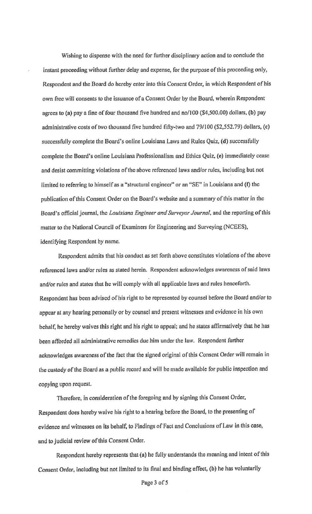Wishing to dispense with the need for further disciplinary action and to conclude the instant proceeding without further delay and expense, for the purpose of this proceeding only, Respondent and the Board do hereby enter into this Consent Order, in which Respondent of his own free will consents to the issuance of a Consent Order by the Board, wherein Respondent agrees to (a) pay a fine of four thousand five hundred and no/100 (\$4,500.00) dollars, (b) pay administrative costs of two thousand five hundred fifty-two and 79/100 (\$2,552.79) dollars, (c) successfully complete the Board's online Louisiana Laws and Rules Quiz, (d) successfully complete the Board's online Louisiana Professionalism and Ethics Quiz, (e) immediately cease and desist committing violations of the above referenced laws and/or rules, including but not limited to referring to himself as a "structural engineer" or an "SE" in Louisiana and (f) the publication of this Consent Order on the Board's website and a summary of this matter in the Board's official journal, the *Louisiana Engineer and Surveyor Journal,* and the reporting of this matter to the National Council of Examiners for Engineering and Surveying (NCEES), identifying Respondent by name.

Respondent admits that his conduct as set forth above constitutes violations of the above referenced laws and/or rules as stated herein. Respondent acknowledges awareness of said laws and/or rules and states that he will comply with all applicable laws and rules henceforth. Respondent has been advised of his right to be represented by counsel before the Board and/or to appear at any hearing personally or by counsel and present witnesses and evidence in his own behalf, he hereby waives this right and his right to appeal; and he states affirmatively that he has **been** afforded all administrative remedies due him under the law. Respondent further acknowledges awareness of the fact that the signed original of this Consent Order will remain in the custody of the Board as a public record and will be made available for public Inspection and copying upon request.

Therefore. in consideration of the foregoing and by signing this Consent Order, Respondent does hereby waive his right to a hearing before the Board, to the presenting of evidence and witnesses on its behalf, to Findings of Fact and Conclusions of Law in this case, and to judicial review of this Consent Order.

Respondent hereby represents that (a) he fully understands the meaning and intent of this Consent Order, including but not limited to its final and binding effect, (b) he has voluntarily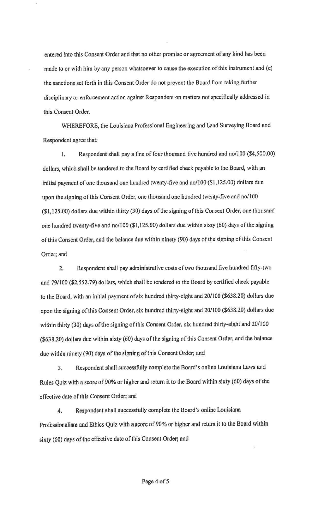entered into this Consent Order and that no other promise or agreement of any kind has been made to or with him by any person whatsoever *to* cause the execution ofthis instrument and (c) the sanctions set forth *in* this Consent Order do not prevent the Board from taking further disciplinary or enforcement action against Respondent on matters not specifically addressed in this Consent Order.

WHEREFORE, the Louisiana Professional Engineering and Land Surveying Board and Respondent agree that:

I. Respondent shall pay a fine of four thousand five hundred and no/100 (\$4,500.00) dollars, which shall be tendered to the Board by certified check payable to the Board, with an initial payment of one thousand one hundred twenty-five and no/100 (\$1,125.00) dollars due upon the signing of this Consent Order, one thousand one hundred twenty-five and no/100 (\$1,125.00) dollars due within thirty (30) days of the signing of this Consent Order, one thousand one hundred twenty-five and no/l 00 (\$ l, 125.00) dollars due within sixty (60) days of the signing of this Consent Order, and the balance due within ninety (90) days of the signing of this Consent Order; and

2. Respondent shall pay administrative costs of two thousand five hundred fifty-two and 79/l 00 (\$2,552.79) dollars, which shall be tendered to the Board by certified check payable to the Board, with an initial payment of six hundred thirty-eight and 20/lOO (\$638.20) dollars due upon the signing of this Consent Order, six hundred thirty-eight and 20/100 (\$638.20) dollars due within thirty (30) days of the signing of this Consent Order, six hundred thirty-eight and 20/IOO (\$638.20) dollars due within sixty (60) days of the signing of this Consent Order, and the balance due within ninety (90) days of the signing of this Consent Order; and

3. Respondent shall successfully complete the Board's onlinc Louisiana Laws and Rules Quiz with a score of 90% or higher and return it *to* the Board within sixty (60) days of the effective date of this Consent Order; and

4. Respondent shall successfully complete the Board's online Louisiana Professionalism and Ethics Quiz with a score of 90% or higher and return it to the Board within sixty (60) days of the effective date of this Consent Order; and